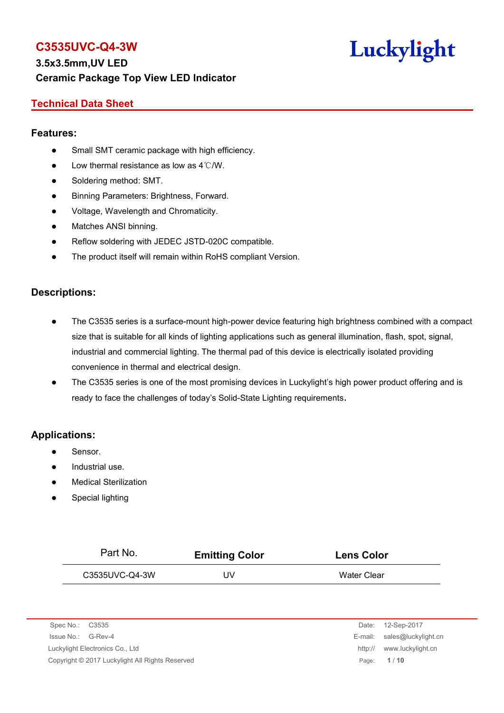

#### **Technical Data Sheet**

#### **Features:**

- Small SMT ceramic package with high efficiency.
- $\bullet$  Low thermal resistance as low as 4℃/W.
- Soldering method: SMT.
- Binning Parameters: Brightness, Forward.
- Voltage, Wavelength and Chromaticity.
- Matches ANSI binning.
- Reflow soldering with JEDEC JSTD-020C compatible.
- The product itself will remain within RoHS compliant Version.

#### **Descriptions:**

- The C3535 series is a surface-mount high-power device featuring high brightness combined with a compact size that is suitable for all kinds of lighting applications such as general illumination, flash, spot, signal, industrial and commercial lighting. The thermal pad of this device is electrically isolated providing convenience in thermal and electrical design.
- The C3535 series is one of the most promising devices in Luckylight's high power product offering and is ready to face the challenges of today's Solid-State Lighting requirements.

#### **Applications:**

- Sensor.
- Industrial use.
- Medical Sterilization
- Special lighting

| Part No.        |                | <b>Emitting Color</b> | <b>Lens Color</b>  |
|-----------------|----------------|-----------------------|--------------------|
|                 | C3535UVC-Q4-3W | UV                    | <b>Water Clear</b> |
|                 |                |                       |                    |
|                 |                |                       |                    |
| Spec No.: C3535 |                |                       | Date: 12-Sep-2017  |

| UNUUTIV UUUUU                                   | $DUU$ , $LUUU$              |
|-------------------------------------------------|-----------------------------|
| Issue No.: G-Rev-4                              | E-mail: sales@luckylight.cn |
| Luckylight Electronics Co., Ltd                 | http:// www.luckylight.cn   |
| Copyright © 2017 Luckylight All Rights Reserved | Page: $1/10$                |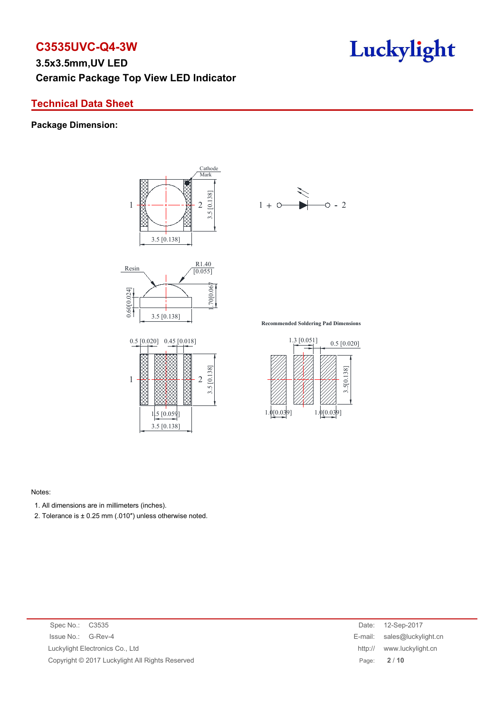### **Technical Data Sheet**

**Package Dimension:**





 $1 + \circ \rightarrow \circ \cdot 2$ 

**Recommended Soldering Pad Dimensions**



#### Notes:

1. All dimensions are in millimeters (inches).

2. Tolerance is  $\pm$  0.25 mm (.010") unless otherwise noted.

| Issue No.: G-Rev-4<br>E-mail: sales@luckylight.cn<br>Luckylight Electronics Co., Ltd<br>www.luckylight.cn<br>http://<br>Copyright © 2017 Luckylight All Rights Reserved<br>Page: 2/10 | Spec No.: C3535 | Date: | 12-Sep-2017 |
|---------------------------------------------------------------------------------------------------------------------------------------------------------------------------------------|-----------------|-------|-------------|
|                                                                                                                                                                                       |                 |       |             |
|                                                                                                                                                                                       |                 |       |             |
|                                                                                                                                                                                       |                 |       |             |

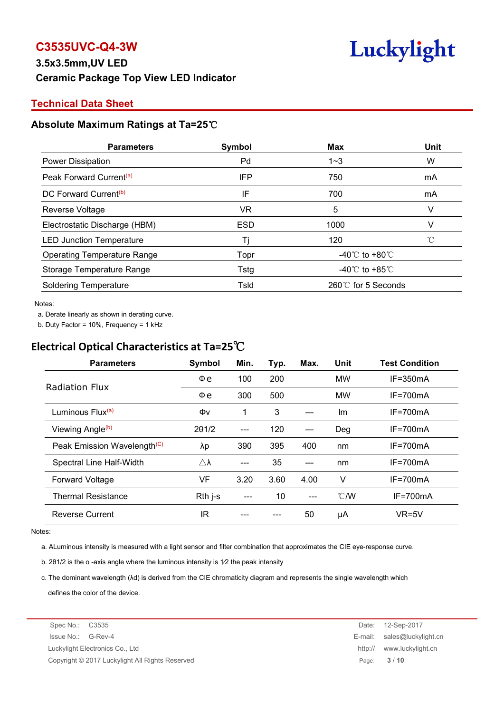

#### **Technical Data Sheet**

#### **Absolute Maximum Ratings at Ta=25**℃

| <b>Parameters</b>                   | Symbol     | Max                                | <b>Unit</b> |
|-------------------------------------|------------|------------------------------------|-------------|
| Power Dissipation                   | Pd         | $1 - 3$                            | W           |
| Peak Forward Current <sup>(a)</sup> | IFP        | 750                                | mA          |
| DC Forward Current <sup>(b)</sup>   | IF         | 700                                | mA          |
| Reverse Voltage                     | VR         | 5                                  | v           |
| Electrostatic Discharge (HBM)       | <b>ESD</b> | 1000                               |             |
| <b>LED Junction Temperature</b>     |            | 120                                |             |
| <b>Operating Temperature Range</b>  | Topr       | -40℃ to +80℃                       |             |
| Storage Temperature Range           | Tstg       | -40 $\degree$ C to +85 $\degree$ C |             |
| <b>Soldering Temperature</b>        | Tsld       | 260℃ for 5 Seconds                 |             |

Notes:

a. Derate linearly as shown in derating curve.

b. Duty Factor = 10%, Frequency = 1 kHz

# **Electrical Optical Characteristics at Ta=25**℃

| <b>Parameters</b>                       | Symbol              | Min.  | Typ. | Max.  | <b>Unit</b>   | <b>Test Condition</b> |
|-----------------------------------------|---------------------|-------|------|-------|---------------|-----------------------|
|                                         | $\Phi$ e            | 100   | 200  |       | <b>MW</b>     | $IF = 350mA$          |
| <b>Radiation Flux</b>                   | $\Phi$ e            | 300   | 500  |       | <b>MW</b>     | IF=700mA              |
| Luminous Flux <sup>(a)</sup>            | Φv                  | 1     | 3    | ---   | Im            | IF=700mA              |
| Viewing Angle <sup>(b)</sup>            | 201/2               | ---   | 120  | $---$ | Deg           | IF=700mA              |
| Peak Emission Wavelength <sup>(C)</sup> | λp                  | 390   | 395  | 400   | nm            | $IF = 700mA$          |
| Spectral Line Half-Width                | $\triangle \lambda$ | ---   | 35   | $---$ | nm            | IF=700mA              |
| <b>Forward Voltage</b>                  | VF                  | 3.20  | 3.60 | 4.00  | v             | IF=700mA              |
| <b>Thermal Resistance</b>               | $Rth$ j-s           | $---$ | 10   | $---$ | $\degree$ C/W | $IF = 700mA$          |
| <b>Reverse Current</b>                  | ΙR                  |       |      | 50    | μA            | $VR=5V$               |

#### Notes:

a. ALuminous intensity is measured with a light sensor and filter combination that approximates the CIE eye-response curve.

b. 2θ1/2 is the o -axis angle where the luminous intensity is 1⁄2 the peak intensity

c. The dominant wavelength (λd) is derived from the CIE chromaticity diagram and represents the single wavelength which defines the color of the device.

Spec No.: C3535 Date: 12-Sep-2017 Issue No.: G-Rev-4 E-mail: sales@luckylight.cn Luckylight Electronics Co., Ltd http:// www.luckylight.cn Copyright © 2017 Luckylight All Rights Reserved Page: **3** / **10**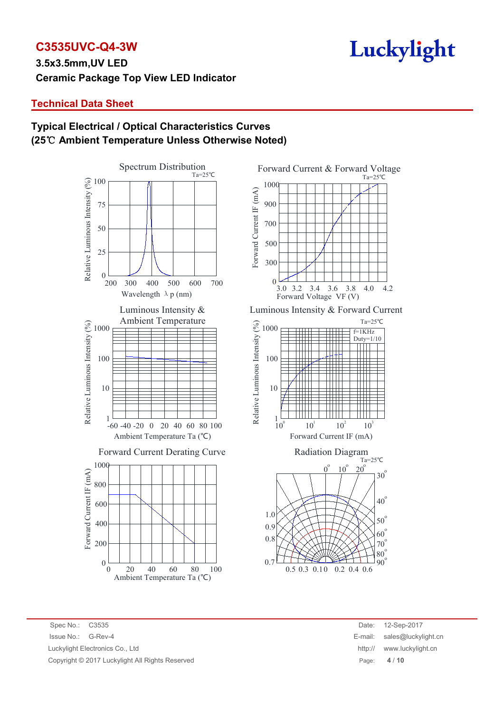# C3535UVC-Q4-3W Luckylight

### **Technical Data Sheet**

### **Typical Electrical / Optical Characteristics Curves (25**℃ **Ambient Temperature Unless Otherwise Noted)**





Luminous Intensity & Forward Current



#### $0.3$   $0.10$   $0.2$  $0.7$ 0.8 0.5 0.10 0.2 0.4 0.6  $60^{\circ}$ o  $70^\circ$ o  $80^\circ$ o  $90<sup>°</sup>$ o

Spec No.: C3535 Date: 12-Sep-2017 Issue No.: G-Rev-4 E-mail: sales@luckylight.cn Luckylight Electronics Co., Ltd Copyright © 2017 Luckylight All Rights Reserved

| Date:   | 12-Sep-2017         |
|---------|---------------------|
| E-mail: | sales@luckylight.cn |
| http:// | www.luckylight.cn   |
| Page:   | 4/10                |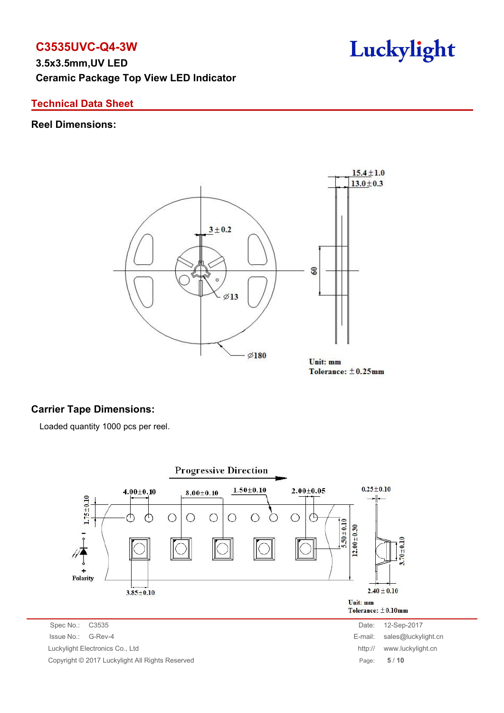**C3535UVC-Q4-3W 3.5x3.5mm,UV LED Ceramic Package Top View LED Indicator**

### **Technical Data Sheet**

#### **Reel Dimensions:**



Tolerance:  $\pm$ 0.25mm

### **Carrier Tape Dimensions:**

Loaded quantity 1000 pcs per reel.

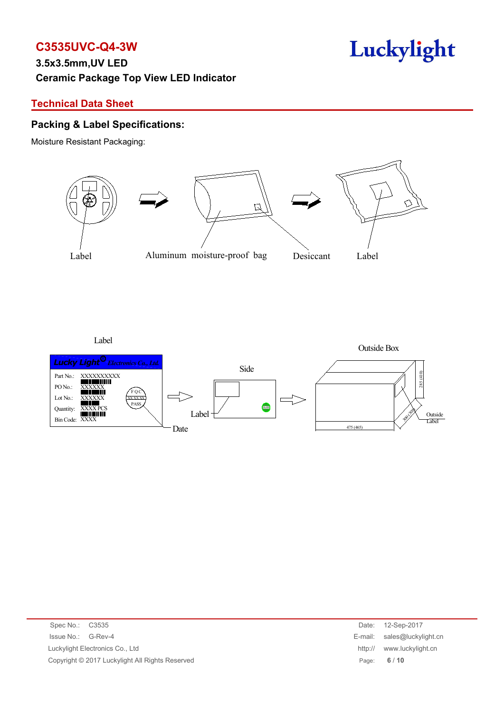### **Technical Data Sheet**

#### **Packing & Label Specifications:**

Moisture Resistant Packaging:



Label Outside Box *Lucky Light Electronics Co., Ltd.* <sup>R</sup> Side<sup>285</sup> (410) Part No.: XXXXXXXXXX PO No.:  $\overline{\text{XXXXX}}$   $\overline{\phantom{1}}$ F Q C Lot  $N_0$ .  $\begin{array}{c|c}\n & \text{XXX} \\
\hline\n \text{W} \\
\text{W} \\
\text{W} \\
\text{W} \\
\text{W} \\
\text{W} \\
\text{W} \\
\text{W} \\
\text{W} \\
\text{W} \\
\text{W} \\
\text{W} \\
\text{W} \\
\text{W} \\
\text{W} \\
\text{W} \\
\text{W} \\
\text{W} \\
\text{W} \\
\text{W} \\
\text{W} \\
\text{W} \\
\text{W} \\
\text{W} \\
\text{W} \\
\text{W} \\
\text{W} \\
\text{W} \\
\text{W} \\
\text{W} \\
\text{W} \\
\text{W} \\
\text{W} \\
\$  $\Rightarrow$ RoHS Quantity:  $\overline{\text{XXX}}$  PCS  $\overline{\phantom{0}}$ Label Outside<br>Label Bin Code: XXXX 475 (465) Date

| Spec No.: C3535                                 | 12-Sep-2017<br>Date:         |
|-------------------------------------------------|------------------------------|
| Issue No.: G-Rev-4                              | E-mail: sales@luckylight.cn  |
| Luckylight Electronics Co., Ltd                 | http://<br>www.luckylight.cn |
| Copyright © 2017 Luckylight All Rights Reserved | 6/10<br>Page:                |
|                                                 |                              |

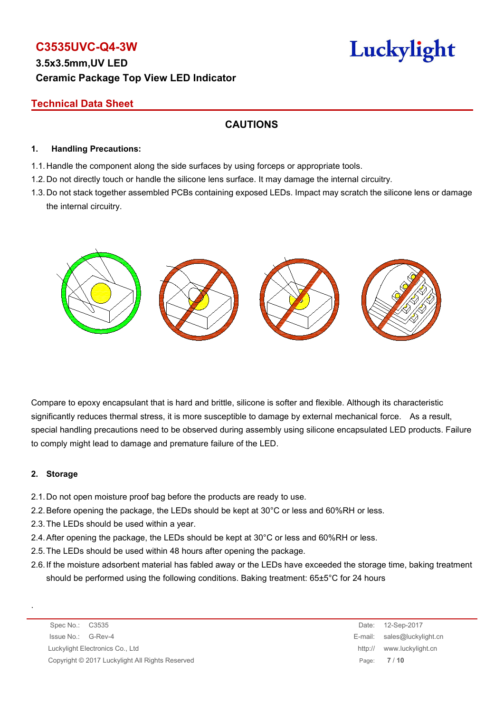# C3535UVC-Q4-3W Luckylight

### **Technical Data Sheet**

### **CAUTIONS**

#### **1. Handling Precautions:**

- 1.1. Handle the component along the side surfaces by using forceps or appropriate tools.
- 1.2. Do not directly touch or handle the silicone lens surface. It may damage the internal circuitry.
- 1.3. Do not stack together assembled PCBs containing exposed LEDs. Impact may scratch the silicone lens or damage the internal circuitry.



Compare to epoxy encapsulant that is hard and brittle, silicone is softer and flexible. Although its characteristic significantly reduces thermal stress, it is more susceptible to damage by external mechanical force. As a result, special handling precautions need to be observed during assembly using silicone encapsulated LED products. Failure to comply might lead to damage and premature failure of the LED.

#### **2. Storage**

.

- 2.1.Do not open moisture proof bag before the products are ready to use.
- 2.2.Before opening the package, the LEDs should be kept at 30°C or less and 60%RH or less.
- 2.3.The LEDs should be used within a year.
- 2.4.After opening the package, the LEDs should be kept at 30°C or less and 60%RH or less.
- 2.5.The LEDs should be used within 48 hours after opening the package.
- 2.6.If the moisture adsorbent material has fabled away or the LEDs have exceeded the storage time, baking treatment should be performed using the following conditions. Baking treatment: 65±5°C for 24 hours

Spec No.: C3535 Date: 12-Sep-2017 Issue No.: G-Rev-4 E-mail: sales@luckylight.cn Luckylight Electronics Co., Ltd **http:// www.luckylight.cn** http:// www.luckylight.cn Copyright © 2017 Luckylight All Rights Reserved Page: **7** / **10**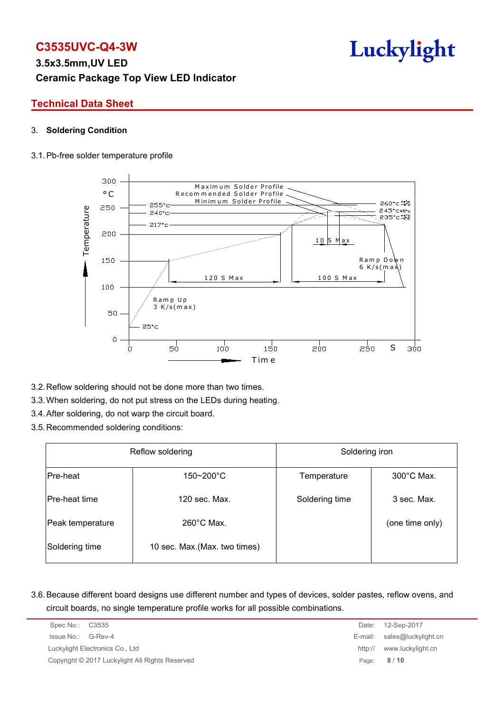# C3535UVC-Q4-3W Luckylight

### **Technical Data Sheet**

#### 3. **Soldering Condition**

#### 3.1.Pb-free solder temperature profile



- 3.2.Reflow soldering should not be done more than two times.
- 3.3.When soldering, do not put stress on the LEDs during heating.
- 3.4.After soldering, do not warp the circuit board.
- 3.5.Recommended soldering conditions:

|                  | Reflow soldering              | Soldering iron |                      |  |  |
|------------------|-------------------------------|----------------|----------------------|--|--|
| Pre-heat         | $150 - 200^{\circ}$ C         | Temperature    | $300^{\circ}$ C Max. |  |  |
| Pre-heat time    | 120 sec. Max.                 | Soldering time | 3 sec. Max.          |  |  |
| Peak temperature | $260^{\circ}$ C Max.          |                | (one time only)      |  |  |
| Soldering time   | 10 sec. Max. (Max. two times) |                |                      |  |  |

3.6.Because different board designs use different number and types of devices, solder pastes, reflow ovens, and circuit boards, no single temperature profile works for all possible combinations.

| Spec No.: C3535                                 | Date:   | 12-Sep-2017                 |
|-------------------------------------------------|---------|-----------------------------|
| Issue No.: G-Rev-4                              |         | E-mail: sales@luckylight.cn |
| Luckylight Electronics Co., Ltd                 | http:// | www.luckylight.cn           |
| Copyright © 2017 Luckylight All Rights Reserved |         | Page: 8/10                  |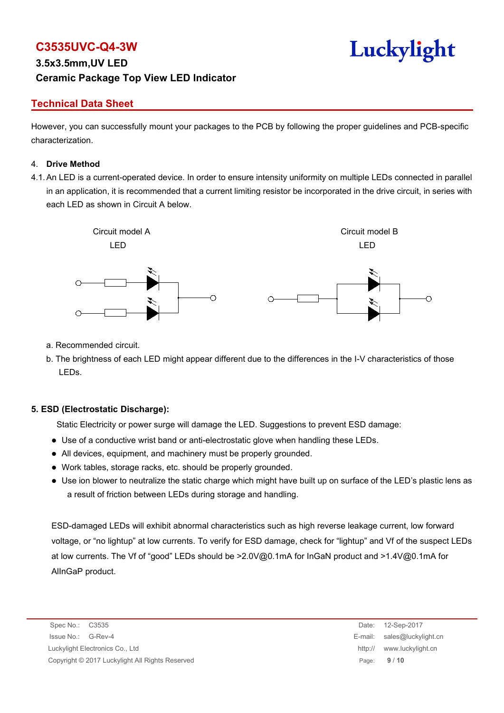# C3535UVC-Q4-3W Luckylight

### **Technical Data Sheet**

However, you can successfully mount your packages to the PCB by following the proper guidelines and PCB-specific characterization.

#### 4. **Drive Method**

4.1.An LED is a current-operated device. In order to ensure intensity uniformity on multiple LEDs connected in parallel in an application, it is recommended that a current limiting resistor be incorporated in the drive circuit, in series with each LED as shown in Circuit A below.



- a. Recommended circuit.
- b. The brightness of each LED might appear different due to the differences in the I-V characteristics of those LEDs.

#### **5. ESD (Electrostatic Discharge):**

Static Electricity or power surge will damage the LED. Suggestions to prevent ESD damage:

- Use of a conductive wrist band or anti-electrostatic glove when handling these LEDs.
- All devices, equipment, and machinery must be properly grounded.
- Work tables, storage racks, etc. should be properly grounded.
- Use ion blower to neutralize the static charge which might have built up on surface of the LED's plastic lens as a result of friction between LEDs during storage and handling.

ESD-damaged LEDs will exhibit abnormal characteristics such as high reverse leakage current, low forward voltage, or "no lightup" at low currents. To verify for ESD damage, check for "lightup" and Vf of the suspect LEDs at low currents. The Vf of "good" LEDs should be >2.0V@0.1mA for InGaN product and >1.4V@0.1mA for AlInGaP product.